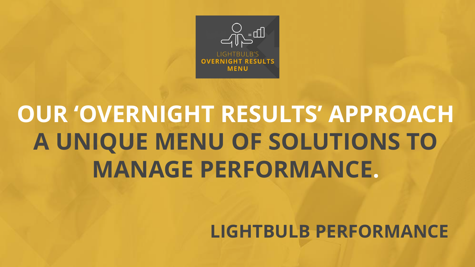

# **OUR 'OVERNIGHT RESULTS' APPROACH A UNIQUE MENU OF SOLUTIONS TO MANAGE PERFORMANCE.**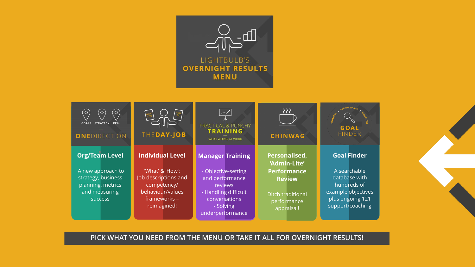



**PICK WHAT YOU NEED FROM THE MENU OR TAKE IT ALL FOR OVERNIGHT RESULTS!**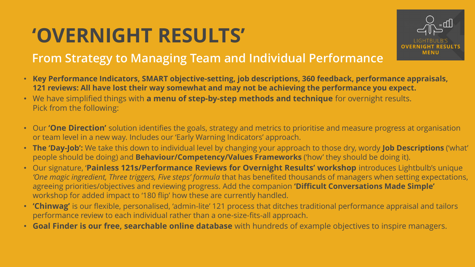# **'OVERNIGHT RESULTS'**



#### **From Strategy to Managing Team and Individual Performance**

- **Key Performance Indicators, SMART objective-setting, job descriptions, 360 feedback, performance appraisals, 121 reviews: All have lost their way somewhat and may not be achieving the performance you expect.**
- We have simplified things with **a menu of step-by-step methods and technique** for overnight results. Pick from the following:
- Our **'One Direction'** solution identifies the goals, strategy and metrics to prioritise and measure progress at organisation or team level in a new way. Includes our 'Early Warning Indicators' approach.
- **The 'Day-Job':** We take this down to individual level by changing your approach to those dry, wordy **Job Descriptions** ('what' people should be doing) and **Behaviour/Competency/Values Frameworks** ('how' they should be doing it).
- Our signature, '**Painless 121s/Performance Reviews for Overnight Results' workshop** introduces Lightbulb's unique 'One magic ingredient, Three triggers, Five steps' formula that has benefited thousands of managers when setting expectations, agreeing priorities/objectives and reviewing progress. Add the companion **'Difficult Conversations Made Simple'**  workshop for added impact to '180 flip' how these are currently handled.
- **'Chinwag'** is our flexible, personalised, 'admin-lite' 121 process that ditches traditional performance appraisal and tailors performance review to each individual rather than a one-size-fits-all approach.
- **Goal Finder is our free, searchable online database** with hundreds of example objectives to inspire managers.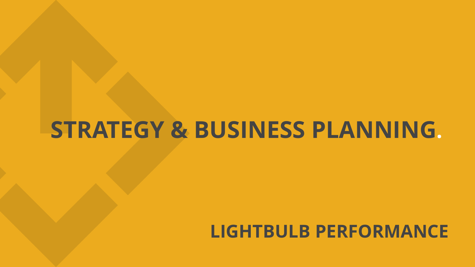## **STRATEGY & BUSINESS PLANNING.**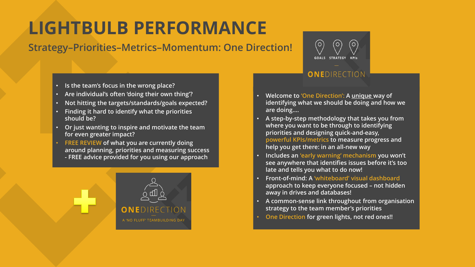### **LIGHTBULB PERFORMANCE**

#### **Strategy–Priorities–Metrics–Momentum: One Direction!**



- **Is the team's focus in the wrong place?**
- **Are individual's often 'doing their own thing'?**
- **Not hitting the targets/standards/goals expected?**
- **Finding it hard to identify what the priorities should be?**
- **Or just wanting to inspire and motivate the team for even greater impact?**
- **FREE REVIEW of what you are currently doing around planning, priorities and measuring success - FREE advice provided for you using our approach**



#### ONEDIRECTION

- **Welcome to 'One Direction': A unique way of identifying what we should be doing and how we are doing….**
- **A step-by-step methodology that takes you from where you want to be through to identifying priorities and designing quick-and-easy, powerful KPIs/metrics to measure progress and help you get there: in an all-new way**
- **Includes an 'early warning' mechanism you won't see anywhere that identifies issues before it's too late and tells you what to do now!**
- **Front-of-mind: A 'whiteboard' visual dashboard approach to keep everyone focused – not hidden away in drives and databases!**
- **A common-sense link throughout from organisation strategy to the team member's priorities**
- **One Direction for green lights, not red ones!!**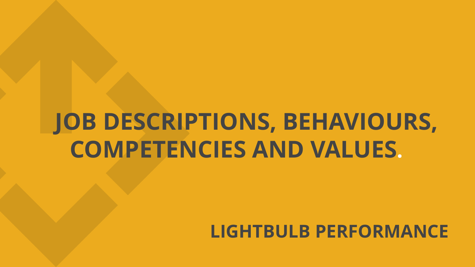# **JOB DESCRIPTIONS, BEHAVIOURS, COMPETENCIES AND VALUES.**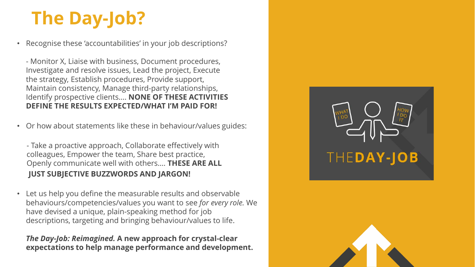# **The Day-Job?**

• Recognise these 'accountabilities' in your job descriptions?

- Monitor X, Liaise with business, Document procedures, Investigate and resolve issues, Lead the project, Execute the strategy, Establish procedures, Provide support, Maintain consistency, Manage third-party relationships, Identify prospective clients…. **NONE OF THESE ACTIVITIES DEFINE THE RESULTS EXPECTED/WHAT I'M PAID FOR!**

• Or how about statements like these in behaviour/values guides:

- Take a proactive approach, Collaborate effectively with colleagues, Empower the team, Share best practice, Openly communicate well with others…. **THESE ARE ALL JUST SUBJECTIVE BUZZWORDS AND JARGON!**

• Let us help you define the measurable results and observable behaviours/competencies/values you want to see *for every role.* We have devised a unique, plain-speaking method for job descriptions, targeting and bringing behaviour/values to life.

*The Day-Job: Reimagined.* **A new approach for crystal-clear expectations to help manage performance and development.**



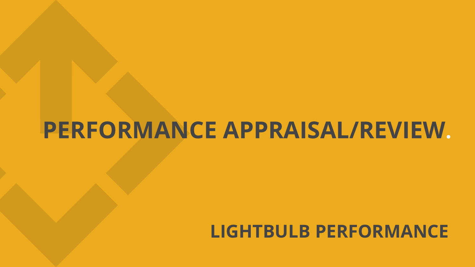# **PERFORMANCE APPRAISAL/REVIEW.**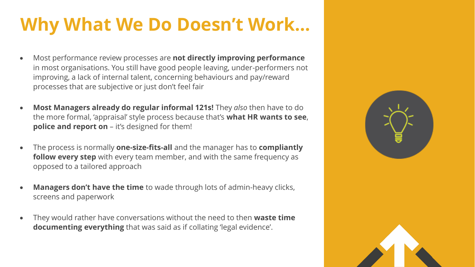## **Why What We Do Doesn't Work…**

- Most performance review processes are **not directly improving performance**  in most organisations. You still have good people leaving, under-performers not improving, a lack of internal talent, concerning behaviours and pay/reward processes that are subjective or just don't feel fair
- **Most Managers already do regular informal 121s!** They *also* then have to do the more formal, 'appraisal' style process because that's **what HR wants to see**, **police and report on** – it's designed for them!
- The process is normally **one-size-fits-all** and the manager has to **compliantly follow every step** with every team member, and with the same frequency as opposed to a tailored approach
- **Managers don't have the time** to wade through lots of admin-heavy clicks, screens and paperwork
- They would rather have conversations without the need to then **waste time documenting everything** that was said as if collating 'legal evidence'.

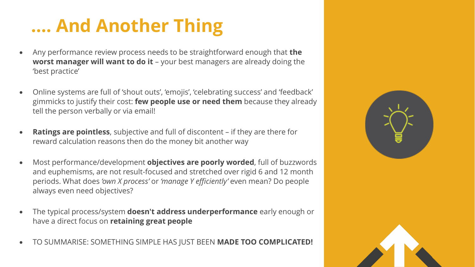## **…. And Another Thing**

- Any performance review process needs to be straightforward enough that **the worst manager will want to do it** - your best managers are already doing the 'best practice'
- Online systems are full of 'shout outs', 'emojis', 'celebrating success' and 'feedback' gimmicks to justify their cost: **few people use or need them** because they already tell the person verbally or via email!
- **Ratings are pointless**, subjective and full of discontent if they are there for reward calculation reasons then do the money bit another way
- Most performance/development **objectives are poorly worded**, full of buzzwords and euphemisms, are not result-focused and stretched over rigid 6 and 12 month periods. What does *'own X process'* or *'manage Y efficiently'* even mean? Do people always even need objectives?
- The typical process/system **doesn't address underperformance** early enough or have a direct focus on **retaining great people**
- TO SUMMARISE: SOMETHING SIMPLE HAS JUST BEEN **MADE TOO COMPLICATED!**



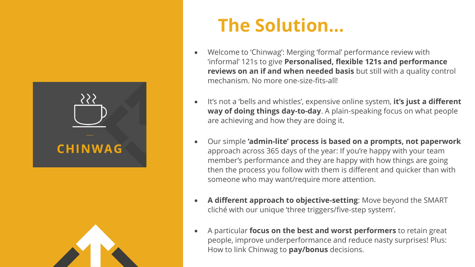



### **The Solution…**

- Welcome to 'Chinwag': Merging 'formal' performance review with 'informal' 121s to give **Personalised, flexible 121s and performance reviews on an if and when needed basis** but still with a quality control mechanism. No more one-size-fits-all!
- It's not a 'bells and whistles', expensive online system, **it's just a different way of doing things day-to-day**. A plain-speaking focus on what people are achieving and how they are doing it.
- Our simple **'admin-lite' process is based on a prompts, not paperwork**  approach across 365 days of the year: If you're happy with your team member's performance and they are happy with how things are going then the process you follow with them is different and quicker than with someone who may want/require more attention.
- **A different approach to objective-setting**: Move beyond the SMART cliché with our unique 'three triggers/five-step system'.
- A particular **focus on the best and worst performers** to retain great people, improve underperformance and reduce nasty surprises! Plus: How to link Chinwag to **pay/bonus** decisions.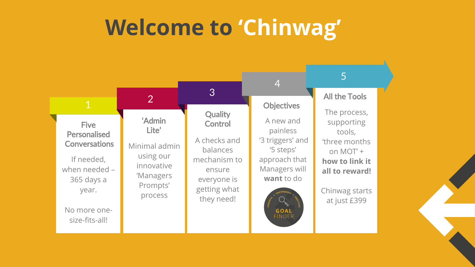# **Welcome to 'Chinwag'**

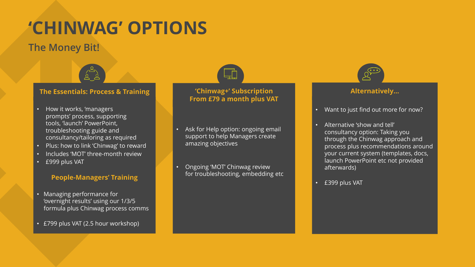### **'CHINWAG' OPTIONS**

#### **The Money Bit!**



#### **The Essentials: Process & Training**

- How it works, 'managers prompts' process, supporting tools, 'launch' PowerPoint, troubleshooting guide and consultancy/tailoring as required
- Plus: how to link 'Chinwag' to reward
- Includes 'MOT' three-month review
- £999 plus VAT

#### **People-Managers' Training**

- Managing performance for 'overnight results' using our 1/3/5 formula plus Chinwag process comms
- £799 plus VAT (2.5 hour workshop)



#### **'Chinwag+' Subscription From £79 a month plus VAT**

- Ask for Help option: ongoing email support to help Managers create amazing objectives
- Ongoing 'MOT' Chinwag review for troubleshooting, embedding etc



#### **Alternatively…**

- Want to just find out more for now?
- Alternative 'show and tell' consultancy option: Taking you through the Chinwag approach and process plus recommendations around your current system (templates, docs, launch PowerPoint etc not provided afterwards)
- £399 plus VAT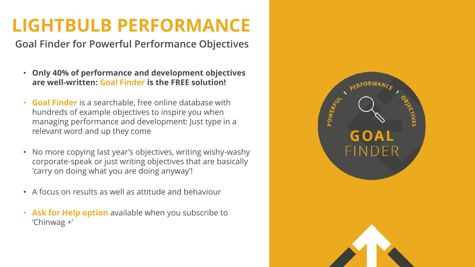### **LIGHTBULB PERFORMANCE**

**Goal Finder for Powerful Performance Objectives**

- **Only 40% of performance and development objectives are well-written: Goal Finder is the FREE solution!**
- **Goal Finder** is a searchable, free online database with hundreds of example objectives to inspire you when managing performance and development: Just type in a relevant word and up they come
- No more copying last year's objectives, writing wishy-washy corporate-speak or just writing objectives that are basically 'carry on doing what you are doing anyway'!
- A focus on results as well as attitude and behaviour
- **Ask for Help option** available when you subscribe to 'Chinwag +'